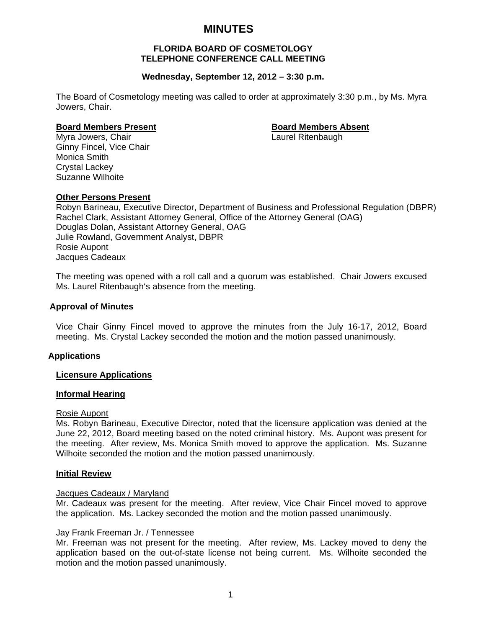# **MINUTES**

## **FLORIDA BOARD OF COSMETOLOGY TELEPHONE CONFERENCE CALL MEETING**

## **Wednesday, September 12, 2012 – 3:30 p.m.**

The Board of Cosmetology meeting was called to order at approximately 3:30 p.m., by Ms. Myra Jowers, Chair.

#### **Board Members Present Communist Communist Board Members Absent**

Myra Jowers, Chair **Laurel Ritenbaugh** Laurel Ritenbaugh Ginny Fincel, Vice Chair Monica Smith Crystal Lackey Suzanne Wilhoite

#### **Other Persons Present**

Robyn Barineau, Executive Director, Department of Business and Professional Regulation (DBPR) Rachel Clark, Assistant Attorney General, Office of the Attorney General (OAG) Douglas Dolan, Assistant Attorney General, OAG Julie Rowland, Government Analyst, DBPR Rosie Aupont Jacques Cadeaux

The meeting was opened with a roll call and a quorum was established. Chair Jowers excused Ms. Laurel Ritenbaugh's absence from the meeting.

#### **Approval of Minutes**

Vice Chair Ginny Fincel moved to approve the minutes from the July 16-17, 2012, Board meeting. Ms. Crystal Lackey seconded the motion and the motion passed unanimously.

### **Applications**

#### **Licensure Applications**

#### **Informal Hearing**

#### Rosie Aupont

Ms. Robyn Barineau, Executive Director, noted that the licensure application was denied at the June 22, 2012, Board meeting based on the noted criminal history. Ms. Aupont was present for the meeting. After review, Ms. Monica Smith moved to approve the application. Ms. Suzanne Wilhoite seconded the motion and the motion passed unanimously.

#### **Initial Review**

#### Jacques Cadeaux / Maryland

Mr. Cadeaux was present for the meeting. After review, Vice Chair Fincel moved to approve the application. Ms. Lackey seconded the motion and the motion passed unanimously.

#### Jay Frank Freeman Jr. / Tennessee

Mr. Freeman was not present for the meeting. After review, Ms. Lackey moved to deny the application based on the out-of-state license not being current. Ms. Wilhoite seconded the motion and the motion passed unanimously.